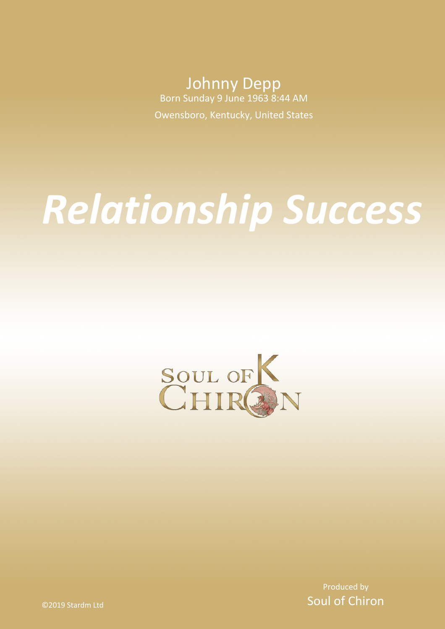Johnny Depp Born Sunday 9 June 1963 8:44 AM

Owensboro, Kentucky, United States

# *Relationship Success*



Produced by Soul of Chiron

©2019 Stardm Ltd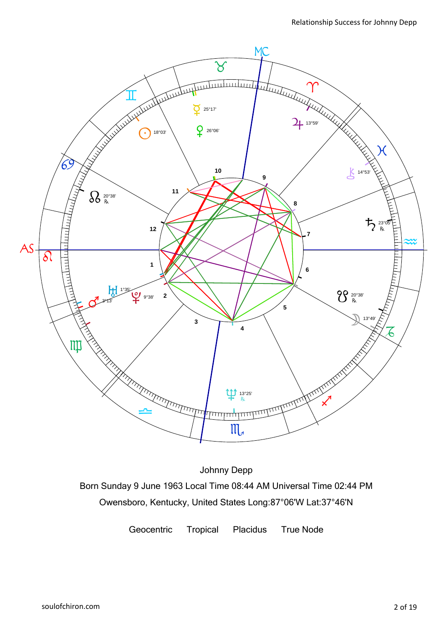

Johnny Depp Born Sunday 9 June 1963 Local Time 08:44 AM Universal Time 02:44 PM Owensboro, Kentucky, United States Long:87°06'W Lat:37°46'N

Geocentric Tropical Placidus True Node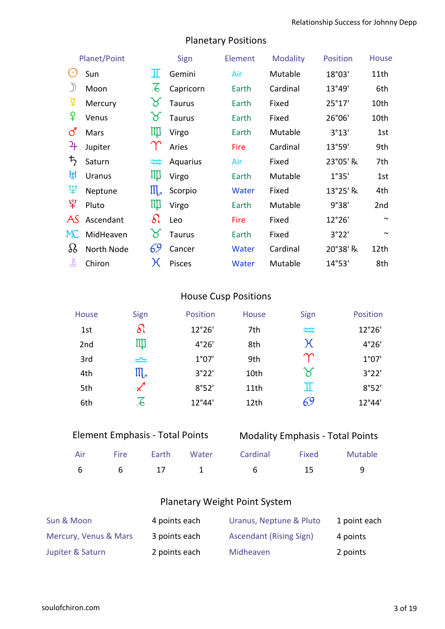| Planet/Point   |               | Sign                  | Element       | <b>Modality</b> | <b>Position</b> | <b>House</b> |        |
|----------------|---------------|-----------------------|---------------|-----------------|-----------------|--------------|--------|
| $(\cdot)$      | Sun           | Ш                     | Gemini        | Air             | Mutable         | 18°03'       | 11th   |
| $\mathcal{Y}$  | Moon          | $\lambda$             | Capricorn     | Earth           | Cardinal        | 13°49'       | 6th    |
| ទ្             | Mercury       | P                     | <b>Taurus</b> | Earth           | Fixed           | 25°17'       | 10th   |
| ¥              | Venus         | $\aleph$              | <b>Taurus</b> | Earth           | Fixed           | 26°06'       | 10th   |
| ර              | Mars          | Щ                     | Virgo         | Earth           | Mutable         | 3°13'        | 1st    |
| ֏⊦             | Jupiter       |                       | Aries         | Fire            | Cardinal        | 13°59'       | 9th    |
| $\bm{\bar{5}}$ | Saturn        | $\approx$             | Aquarius      | Air             | Fixed           | 23°05' R     | 7th    |
| ਮ੍ਹਿ           | <b>Uranus</b> | Щ                     | Virgo         | Earth           | Mutable         | 1°35'        | 1st    |
| $\mathfrak P$  | Neptune       | $\prod_{\mathcal{A}}$ | Scorpio       | Water           | Fixed           | 13°25' R     | 4th    |
| $\mathfrak{P}$ | Pluto         | Щ                     | Virgo         | Earth           | Mutable         | 9°38'        | 2nd    |
| AS             | Ascendant     | $\delta\Omega$        | Leo           | <b>Fire</b>     | Fixed           | 12°26'       | $\sim$ |
| MC             | MidHeaven     | $\alpha$              | <b>Taurus</b> | Earth           | Fixed           | 3°22'        | $\sim$ |
| 88             | North Node    | 69                    | Cancer        | Water           | Cardinal        | 20°38' R     | 12th   |
| 飞              | Chiron        | $\chi$                | Pisces        | Water           | Mutable         | 14°53'       | 8th    |

# Planetary Positions

# House Cusp Positions

| House           | Sign                  | Position | <b>House</b>     | Sign                  | Position |
|-----------------|-----------------------|----------|------------------|-----------------------|----------|
| 1st             | ଧି                    | 12°26'   | 7th              | $\approx$             | 12°26'   |
| 2 <sub>nd</sub> | ЩI                    | 4°26'    | 8th              | χ                     | 4°26'    |
| 3rd             | $\rightleftharpoons$  | 1°07'    | 9th              | ಞ                     | 1°07'    |
| 4th             | $\mathfrak{m}_{\ast}$ | 3°22'    | 10th             | $\boldsymbol{\times}$ | 3°22'    |
| 5th             | $\mathcal{L}$         | 8°52'    | 11 <sub>th</sub> | $\mathbb I$           | 8°52'    |
| 6th             | Z                     | 12°44'   | 12th             | 69                    | 12°44'   |

| <b>Element Emphasis - Total Points</b> |  |
|----------------------------------------|--|
|                                        |  |

|  | <b>Modality Emphasis - Total Points</b> |  |  |
|--|-----------------------------------------|--|--|
|--|-----------------------------------------|--|--|

|  |  | Air Fire Earth Water Cardinal Fixed Mutable |    |  |
|--|--|---------------------------------------------|----|--|
|  |  | 6 6 17 1 6                                  | 15 |  |

# Planetary Weight Point System

| Sun & Moon            | 4 points each | Uranus, Neptune & Pluto        | 1 point each |
|-----------------------|---------------|--------------------------------|--------------|
| Mercury, Venus & Mars | 3 points each | <b>Ascendant (Rising Sign)</b> | 4 points     |
| Jupiter & Saturn      | 2 points each | Midheaven                      | 2 points     |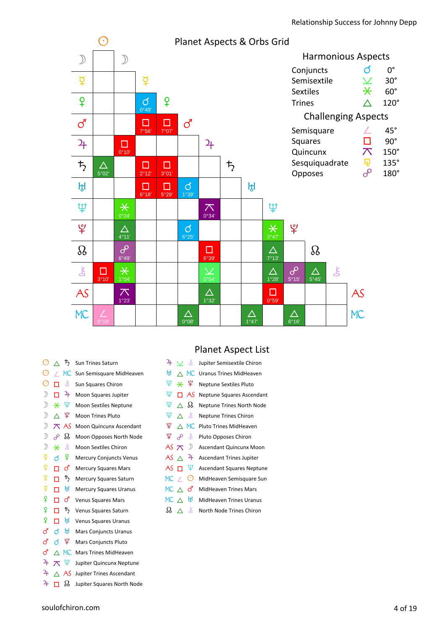

| C             |          | ђ         | <b>Sun Trines Saturn</b>        |
|---------------|----------|-----------|---------------------------------|
| $_{\odot}$    | 7        | <b>MC</b> | Sun Semisquare MidHeaven        |
| $_{\odot}$    | п        | Ŗ         | Sun Squares Chiron              |
| $\mathcal{D}$ | п        | 4         | Moon Squares Jupiter            |
| $\mathcal{D}$ | ⋇        | Ψ         | Moon Sextiles Neptune           |
| $\mathcal{D}$ | $\wedge$ | ¥         | <b>Moon Trines Pluto</b>        |
| $\mathcal{D}$ | $\pi$    | AS        | Moon Quincunx Ascendant         |
| $\big)$       | $\delta$ | Ձ         | Moon Opposes North Node         |
| $\mathcal{D}$ | ⋇        | 飞         | Moon Sextiles Chiron            |
| ¥             | ൪        | ¥         | <b>Mercury Conjuncts Venus</b>  |
| ₫             | п        | <u>්</u>  | <b>Mercury Squares Mars</b>     |
| ₫             | п        | ち         | Mercury Squares Saturn          |
| ₫             | п        | ਸ਼੍ਰੀ     | <b>Mercury Squares Uranus</b>   |
| ¥             | п        | ൪         | <b>Venus Squares Mars</b>       |
| ¥             | п        | 芍         | Venus Squares Saturn            |
| ¥             | п        | ਸ਼ਿ       | <b>Venus Squares Uranus</b>     |
| ර             | ൪        | ਸ਼੍ਰੀ     | <b>Mars Conjuncts Uranus</b>    |
| ්             | ൪        | Ψ         | <b>Mars Conjuncts Pluto</b>     |
| ්             | Λ        | <b>MC</b> | <b>Mars Trines MidHeaven</b>    |
| 24            | ᅎ        | Ψ         | Jupiter Quincunx Neptune        |
| 4             |          | AS        | <b>Jupiter Trines Ascendant</b> |
|               |          |           |                                 |

#### $\overline{P}$   $\Box$   $\Omega$  Jupiter Squares North Node

# Planet Aspect List

| 4           | V を      |                   | Jupiter Semisextile Chiron       |
|-------------|----------|-------------------|----------------------------------|
| ਸ਼੍ਰ        |          | $\wedge$ MC       | <b>Uranus Trines MidHeaven</b>   |
| Ψ           |          | ¥ ¥               | <b>Neptune Sextiles Pluto</b>    |
| Ψ           | п        | - AS              | Neptune Squares Ascendant        |
| Ψ           |          | $\wedge$ $\Omega$ | Neptune Trines North Node        |
| Ψ           | ∧        | $\mathbf{K}$      | <b>Neptune Trines Chiron</b>     |
| ¥           | $\wedge$ | MC.               | Pluto Trines MidHeaven           |
| ¥           | م        | $\mathbf{K}$      | Pluto Opposes Chiron             |
| AS $\pi$    |          | $\mathcal{D}$     | Ascendant Quincunx Moon          |
| AS $\land$  |          | $^{2+}$           | <b>Ascendant Trines Jupiter</b>  |
| $AS$ $\Box$ |          | Ψ                 | <b>Ascendant Squares Neptune</b> |
| $MC$ /      |          | ⊙                 | MidHeaven Semisquare Sun         |
| MC A        |          | ර                 | <b>MidHeaven Trines Mars</b>     |
| MC A        |          | ਸ਼੍ਰਮ             | <b>MidHeaven Trines Uranus</b>   |
| 99          |          | Ľ                 | North Node Trines Chiron         |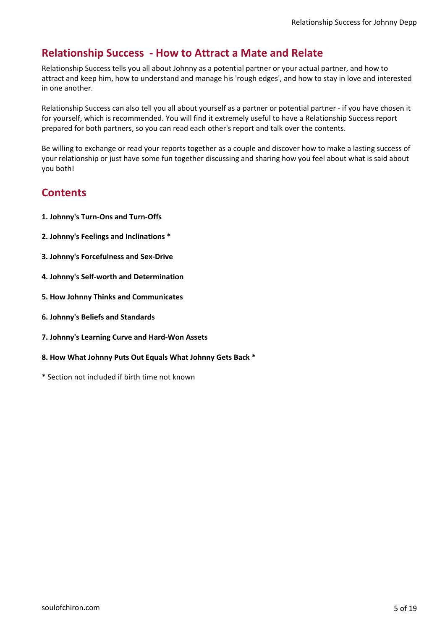# **Relationship Success - How to Attract a Mate and Relate**

Relationship Success tells you all about Johnny as a potential partner or your actual partner, and how to attract and keep him, how to understand and manage his 'rough edges', and how to stay in love and interested in one another.

Relationship Success can also tell you all about yourself as a partner or potential partner - if you have chosen it for yourself, which is recommended. You will find it extremely useful to have a Relationship Success report prepared for both partners, so you can read each other's report and talk over the contents.

Be willing to exchange or read your reports together as a couple and discover how to make a lasting success of your relationship or just have some fun together discussing and sharing how you feel about what is said about you both!

# **Contents**

- **1. Johnny's Turn-Ons and Turn-Offs**
- **2. Johnny's Feelings and Inclinations \***
- **3. Johnny's Forcefulness and Sex-Drive**
- **4. Johnny's Self-worth and Determination**
- **5. How Johnny Thinks and Communicates**
- **6. Johnny's Beliefs and Standards**
- **7. Johnny's Learning Curve and Hard-Won Assets**
- **8. How What Johnny Puts Out Equals What Johnny Gets Back \***
- \* Section not included if birth time not known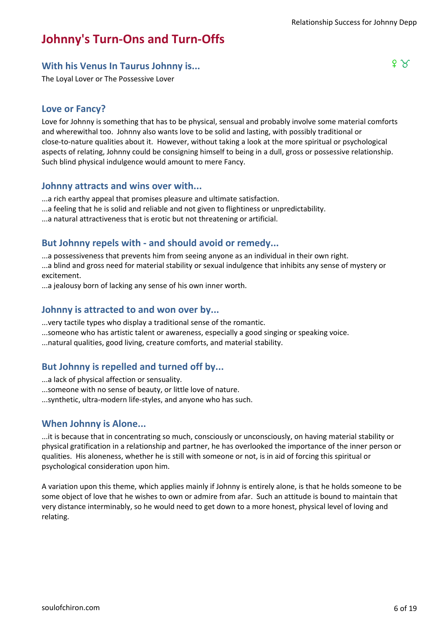# **Johnny's Turn-Ons and Turn-Offs**

# **With his Venus In Taurus Johnny is... Fig. 2.1 August 2.1 August 2.2 August 2.2 August 2.2 August 2.2 August 2.2 August 2.2 August 2.2 August 2.2 August 2.2 August 2.2 August 2.2 August 2.2 August 2.2 August 2.2 August**

The Loyal Lover or The Possessive Lover

## **Love or Fancy?**

Love for Johnny is something that has to be physical, sensual and probably involve some material comforts and wherewithal too. Johnny also wants love to be solid and lasting, with possibly traditional or close-to-nature qualities about it. However, without taking a look at the more spiritual or psychological aspects of relating, Johnny could be consigning himself to being in a dull, gross or possessive relationship. Such blind physical indulgence would amount to mere Fancy.

#### **Johnny attracts and wins over with...**

...a rich earthy appeal that promises pleasure and ultimate satisfaction.

...a feeling that he is solid and reliable and not given to flightiness or unpredictability.

...a natural attractiveness that is erotic but not threatening or artificial.

#### **But Johnny repels with - and should avoid or remedy...**

...a possessiveness that prevents him from seeing anyone as an individual in their own right. ...a blind and gross need for material stability or sexual indulgence that inhibits any sense of mystery or excitement.

...a jealousy born of lacking any sense of his own inner worth.

## **Johnny is attracted to and won over by...**

- ...very tactile types who display a traditional sense of the romantic.
- ...someone who has artistic talent or awareness, especially a good singing or speaking voice.
- ...natural qualities, good living, creature comforts, and material stability.

#### **But Johnny is repelled and turned off by...**

- ...a lack of physical affection or sensuality.
- ...someone with no sense of beauty, or little love of nature.
- ...synthetic, ultra-modern life-styles, and anyone who has such.

#### **When Johnny is Alone...**

...it is because that in concentrating so much, consciously or unconsciously, on having material stability or physical gratification in a relationship and partner, he has overlooked the importance of the inner person or qualities. His aloneness, whether he is still with someone or not, is in aid of forcing this spiritual or psychological consideration upon him.

A variation upon this theme, which applies mainly if Johnny is entirely alone, is that he holds someone to be some object of love that he wishes to own or admire from afar. Such an attitude is bound to maintain that very distance interminably, so he would need to get down to a more honest, physical level of loving and relating.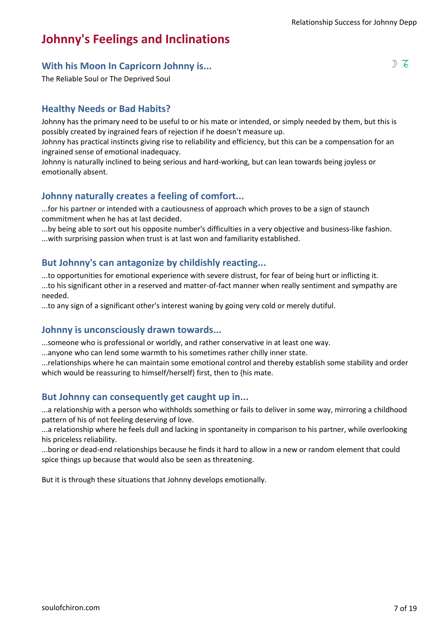# **Johnny's Feelings and Inclinations**

# **With his Moon In Capricorn Johnny is...** Shape of the same of  $\mathbb{Z}$

The Reliable Soul or The Deprived Soul

## **Healthy Needs or Bad Habits?**

Johnny has the primary need to be useful to or his mate or intended, or simply needed by them, but this is possibly created by ingrained fears of rejection if he doesn't measure up.

Johnny has practical instincts giving rise to reliability and efficiency, but this can be a compensation for an ingrained sense of emotional inadequacy.

Johnny is naturally inclined to being serious and hard-working, but can lean towards being joyless or emotionally absent.

## **Johnny naturally creates a feeling of comfort...**

...for his partner or intended with a cautiousness of approach which proves to be a sign of staunch commitment when he has at last decided.

...by being able to sort out his opposite number's difficulties in a very objective and business-like fashion. ...with surprising passion when trust is at last won and familiarity established.

## **But Johnny's can antagonize by childishly reacting...**

...to opportunities for emotional experience with severe distrust, for fear of being hurt or inflicting it.

...to his significant other in a reserved and matter-of-fact manner when really sentiment and sympathy are needed.

...to any sign of a significant other's interest waning by going very cold or merely dutiful.

#### **Johnny is unconsciously drawn towards...**

...someone who is professional or worldly, and rather conservative in at least one way.

...anyone who can lend some warmth to his sometimes rather chilly inner state.

...relationships where he can maintain some emotional control and thereby establish some stability and order which would be reassuring to himself/herself} first, then to {his mate.

## **But Johnny can consequently get caught up in...**

...a relationship with a person who withholds something or fails to deliver in some way, mirroring a childhood pattern of his of not feeling deserving of love.

...a relationship where he feels dull and lacking in spontaneity in comparison to his partner, while overlooking his priceless reliability.

...boring or dead-end relationships because he finds it hard to allow in a new or random element that could spice things up because that would also be seen as threatening.

But it is through these situations that Johnny develops emotionally.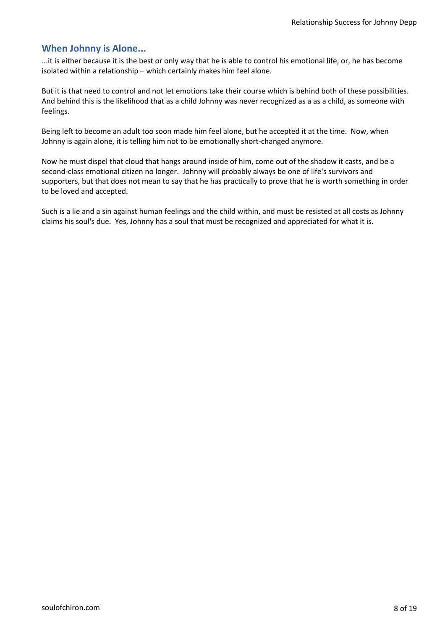...it is either because it is the best or only way that he is able to control his emotional life, or, he has become isolated within a relationship – which certainly makes him feel alone.

But it is that need to control and not let emotions take their course which is behind both of these possibilities. And behind this is the likelihood that as a child Johnny was never recognized as a as a child, as someone with feelings.

Being left to become an adult too soon made him feel alone, but he accepted it at the time. Now, when Johnny is again alone, it is telling him not to be emotionally short-changed anymore.

Now he must dispel that cloud that hangs around inside of him, come out of the shadow it casts, and be a second-class emotional citizen no longer. Johnny will probably always be one of life's survivors and supporters, but that does not mean to say that he has practically to prove that he is worth something in order to be loved and accepted.

Such is a lie and a sin against human feelings and the child within, and must be resisted at all costs as Johnny claims his soul's due. Yes, Johnny has a soul that must be recognized and appreciated for what it is.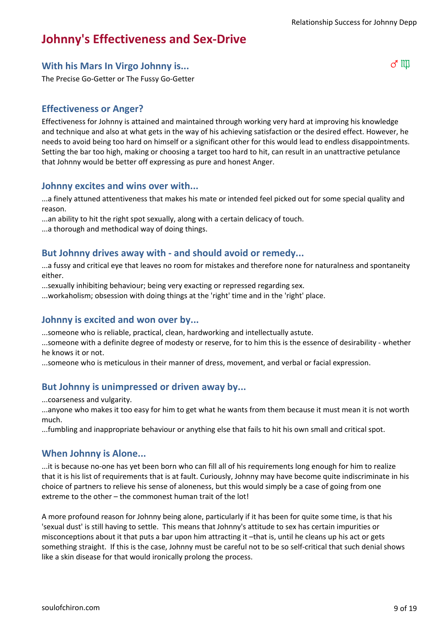# **Johnny's Effectiveness and Sex-Drive**

# **With his Mars In Virgo Johnny is...** General Australian Communist Communist Communist Communist Communist Communist Communist Communist Communist Communist Communist Communist Communist Communist Communist Communist Commu

The Precise Go-Getter or The Fussy Go-Getter

## **Effectiveness or Anger?**

Effectiveness for Johnny is attained and maintained through working very hard at improving his knowledge and technique and also at what gets in the way of his achieving satisfaction or the desired effect. However, he needs to avoid being too hard on himself or a significant other for this would lead to endless disappointments. Setting the bar too high, making or choosing a target too hard to hit, can result in an unattractive petulance that Johnny would be better off expressing as pure and honest Anger.

#### **Johnny excites and wins over with...**

...a finely attuned attentiveness that makes his mate or intended feel picked out for some special quality and reason.

...an ability to hit the right spot sexually, along with a certain delicacy of touch.

...a thorough and methodical way of doing things.

## **But Johnny drives away with - and should avoid or remedy...**

...a fussy and critical eye that leaves no room for mistakes and therefore none for naturalness and spontaneity either.

...sexually inhibiting behaviour; being very exacting or repressed regarding sex.

...workaholism; obsession with doing things at the 'right' time and in the 'right' place.

## **Johnny is excited and won over by...**

...someone who is reliable, practical, clean, hardworking and intellectually astute.

...someone with a definite degree of modesty or reserve, for to him this is the essence of desirability - whether he knows it or not.

...someone who is meticulous in their manner of dress, movement, and verbal or facial expression.

## **But Johnny is unimpressed or driven away by...**

...coarseness and vulgarity.

...anyone who makes it too easy for him to get what he wants from them because it must mean it is not worth much.

...fumbling and inappropriate behaviour or anything else that fails to hit his own small and critical spot.

#### **When Johnny is Alone...**

...it is because no-one has yet been born who can fill all of his requirements long enough for him to realize that it is his list of requirements that is at fault. Curiously, Johnny may have become quite indiscriminate in his choice of partners to relieve his sense of aloneness, but this would simply be a case of going from one extreme to the other – the commonest human trait of the lot!

A more profound reason for Johnny being alone, particularly if it has been for quite some time, is that his 'sexual dust' is still having to settle. This means that Johnny's attitude to sex has certain impurities or misconceptions about it that puts a bar upon him attracting it –that is, until he cleans up his act or gets something straight. If this is the case, Johnny must be careful not to be so self-critical that such denial shows like a skin disease for that would ironically prolong the process.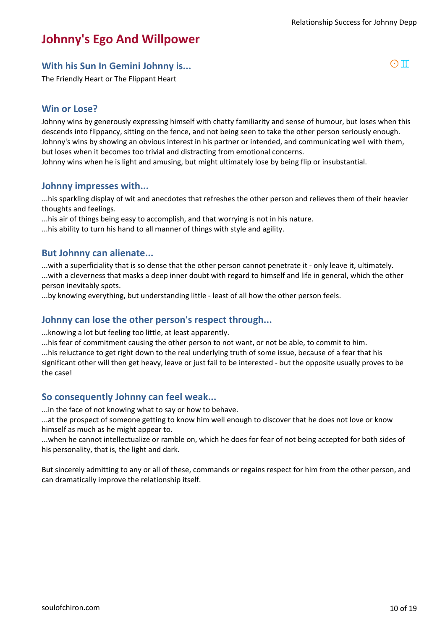# **Johnny's Ego And Willpower**

# **With his Sun In Gemini Johnny is...** And the same of  $\Box$  and  $\Box$  and  $\Box$  and  $\Box$  and  $\Box$  and  $\Box$  and  $\Box$  and  $\Box$  and  $\Box$  and  $\Box$  and  $\Box$  and  $\Box$  and  $\Box$  and  $\Box$  and  $\Box$  and  $\Box$  and  $\Box$  and  $\Box$  and  $\Box$  a

The Friendly Heart or The Flippant Heart

## **Win or Lose?**

Johnny wins by generously expressing himself with chatty familiarity and sense of humour, but loses when this descends into flippancy, sitting on the fence, and not being seen to take the other person seriously enough. Johnny's wins by showing an obvious interest in his partner or intended, and communicating well with them, but loses when it becomes too trivial and distracting from emotional concerns.

Johnny wins when he is light and amusing, but might ultimately lose by being flip or insubstantial.

#### **Johnny impresses with...**

...his sparkling display of wit and anecdotes that refreshes the other person and relieves them of their heavier thoughts and feelings.

...his air of things being easy to accomplish, and that worrying is not in his nature.

...his ability to turn his hand to all manner of things with style and agility.

#### **But Johnny can alienate...**

...with a superficiality that is so dense that the other person cannot penetrate it - only leave it, ultimately. ...with a cleverness that masks a deep inner doubt with regard to himself and life in general, which the other person inevitably spots.

...by knowing everything, but understanding little - least of all how the other person feels.

#### **Johnny can lose the other person's respect through...**

...knowing a lot but feeling too little, at least apparently.

...his fear of commitment causing the other person to not want, or not be able, to commit to him. ...his reluctance to get right down to the real underlying truth of some issue, because of a fear that his significant other will then get heavy, leave or just fail to be interested - but the opposite usually proves to be the case!

#### **So consequently Johnny can feel weak...**

...in the face of not knowing what to say or how to behave.

...at the prospect of someone getting to know him well enough to discover that he does not love or know himself as much as he might appear to.

...when he cannot intellectualize or ramble on, which he does for fear of not being accepted for both sides of his personality, that is, the light and dark.

But sincerely admitting to any or all of these, commands or regains respect for him from the other person, and can dramatically improve the relationship itself.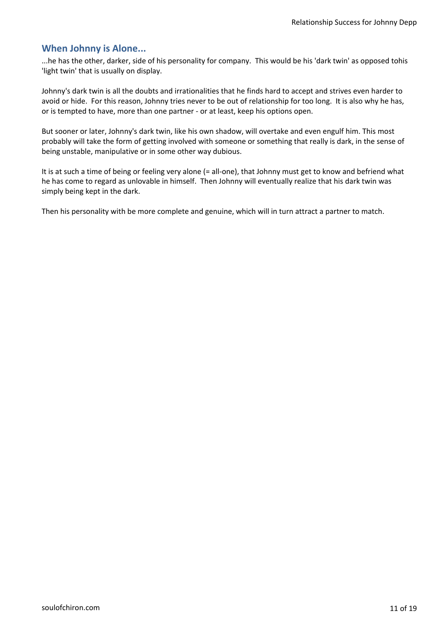...he has the other, darker, side of his personality for company. This would be his 'dark twin' as opposed tohis 'light twin' that is usually on display.

Johnny's dark twin is all the doubts and irrationalities that he finds hard to accept and strives even harder to avoid or hide. For this reason, Johnny tries never to be out of relationship for too long. It is also why he has, or is tempted to have, more than one partner - or at least, keep his options open.

But sooner or later, Johnny's dark twin, like his own shadow, will overtake and even engulf him. This most probably will take the form of getting involved with someone or something that really is dark, in the sense of being unstable, manipulative or in some other way dubious.

It is at such a time of being or feeling very alone (= all-one), that Johnny must get to know and befriend what he has come to regard as unlovable in himself. Then Johnny will eventually realize that his dark twin was simply being kept in the dark.

Then his personality with be more complete and genuine, which will in turn attract a partner to match.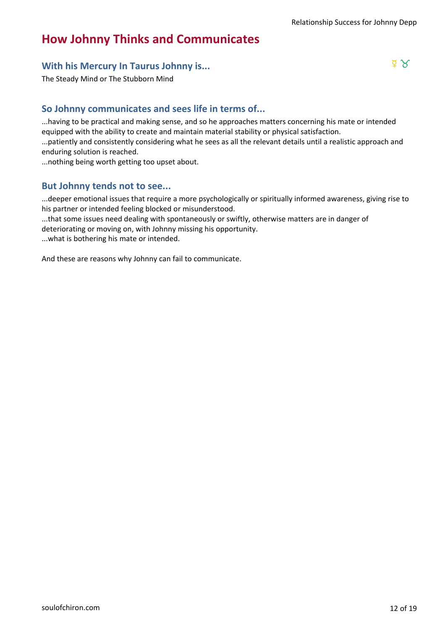# **How Johnny Thinks and Communicates**

# **With his Mercury In Taurus Johnny is...** d 2

The Steady Mind or The Stubborn Mind

# **So Johnny communicates and sees life in terms of...**

...having to be practical and making sense, and so he approaches matters concerning his mate or intended equipped with the ability to create and maintain material stability or physical satisfaction.

...patiently and consistently considering what he sees as all the relevant details until a realistic approach and enduring solution is reached.

...nothing being worth getting too upset about.

## **But Johnny tends not to see...**

...deeper emotional issues that require a more psychologically or spiritually informed awareness, giving rise to his partner or intended feeling blocked or misunderstood.

...that some issues need dealing with spontaneously or swiftly, otherwise matters are in danger of deteriorating or moving on, with Johnny missing his opportunity.

...what is bothering his mate or intended.

And these are reasons why Johnny can fail to communicate.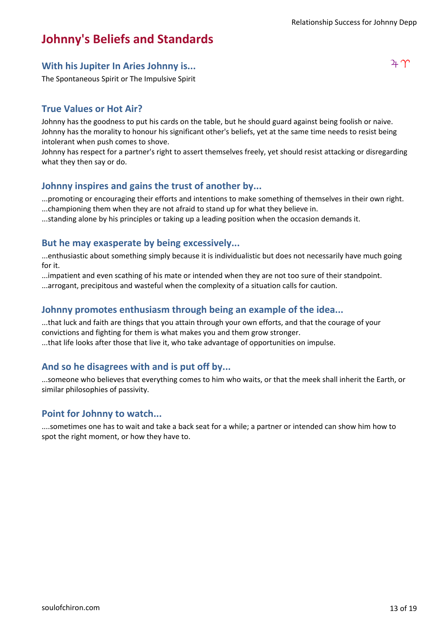# **Johnny's Beliefs and Standards**

# With his Jupiter In Aries Johnny is...  $4 \gamma$

The Spontaneous Spirit or The Impulsive Spirit

## **True Values or Hot Air?**

Johnny has the goodness to put his cards on the table, but he should guard against being foolish or naive. Johnny has the morality to honour his significant other's beliefs, yet at the same time needs to resist being intolerant when push comes to shove.

Johnny has respect for a partner's right to assert themselves freely, yet should resist attacking or disregarding what they then say or do.

## **Johnny inspires and gains the trust of another by...**

...promoting or encouraging their efforts and intentions to make something of themselves in their own right. ...championing them when they are not afraid to stand up for what they believe in.

...standing alone by his principles or taking up a leading position when the occasion demands it.

#### **But he may exasperate by being excessively...**

...enthusiastic about something simply because it is individualistic but does not necessarily have much going for it.

...impatient and even scathing of his mate or intended when they are not too sure of their standpoint. ...arrogant, precipitous and wasteful when the complexity of a situation calls for caution.

## **Johnny promotes enthusiasm through being an example of the idea...**

...that luck and faith are things that you attain through your own efforts, and that the courage of your convictions and fighting for them is what makes you and them grow stronger. ...that life looks after those that live it, who take advantage of opportunities on impulse.

#### **And so he disagrees with and is put off by...**

...someone who believes that everything comes to him who waits, or that the meek shall inherit the Earth, or similar philosophies of passivity.

#### **Point for Johnny to watch...**

....sometimes one has to wait and take a back seat for a while; a partner or intended can show him how to spot the right moment, or how they have to.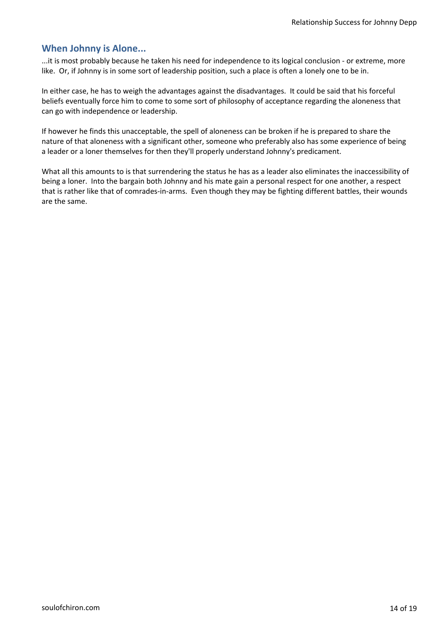...it is most probably because he taken his need for independence to its logical conclusion - or extreme, more like. Or, if Johnny is in some sort of leadership position, such a place is often a lonely one to be in.

In either case, he has to weigh the advantages against the disadvantages. It could be said that his forceful beliefs eventually force him to come to some sort of philosophy of acceptance regarding the aloneness that can go with independence or leadership.

If however he finds this unacceptable, the spell of aloneness can be broken if he is prepared to share the nature of that aloneness with a significant other, someone who preferably also has some experience of being a leader or a loner themselves for then they'll properly understand Johnny's predicament.

What all this amounts to is that surrendering the status he has as a leader also eliminates the inaccessibility of being a loner. Into the bargain both Johnny and his mate gain a personal respect for one another, a respect that is rather like that of comrades-in-arms. Even though they may be fighting different battles, their wounds are the same.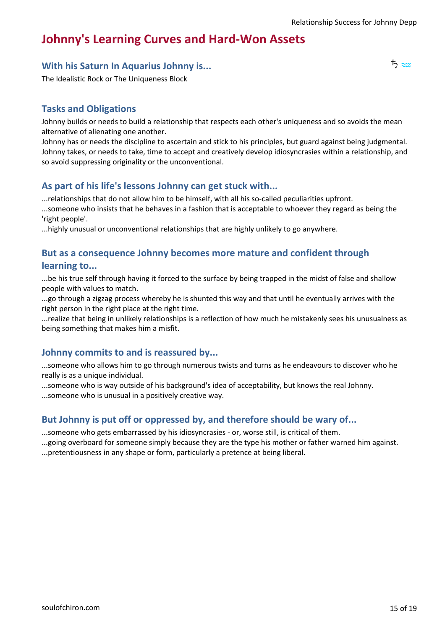# **Johnny's Learning Curves and Hard-Won Assets**

# **With his Saturn In Aquarius Johnny is...** january and the set of the set of the set of the set of the set of the set of the set of the set of the set of the set of the set of the set of the set of the set of the set of t

The Idealistic Rock or The Uniqueness Block

## **Tasks and Obligations**

Johnny builds or needs to build a relationship that respects each other's uniqueness and so avoids the mean alternative of alienating one another.

Johnny has or needs the discipline to ascertain and stick to his principles, but guard against being judgmental. Johnny takes, or needs to take, time to accept and creatively develop idiosyncrasies within a relationship, and so avoid suppressing originality or the unconventional.

## **As part of his life's lessons Johnny can get stuck with...**

...relationships that do not allow him to be himself, with all his so-called peculiarities upfront. ...someone who insists that he behaves in a fashion that is acceptable to whoever they regard as being the

'right people'.

...highly unusual or unconventional relationships that are highly unlikely to go anywhere.

## **But as a consequence Johnny becomes more mature and confident through learning to...**

...be his true self through having it forced to the surface by being trapped in the midst of false and shallow people with values to match.

...go through a zigzag process whereby he is shunted this way and that until he eventually arrives with the right person in the right place at the right time.

...realize that being in unlikely relationships is a reflection of how much he mistakenly sees his unusualness as being something that makes him a misfit.

#### **Johnny commits to and is reassured by...**

...someone who allows him to go through numerous twists and turns as he endeavours to discover who he really is as a unique individual.

...someone who is way outside of his background's idea of acceptability, but knows the real Johnny.

...someone who is unusual in a positively creative way.

#### **But Johnny is put off or oppressed by, and therefore should be wary of...**

...someone who gets embarrassed by his idiosyncrasies - or, worse still, is critical of them.

...going overboard for someone simply because they are the type his mother or father warned him against.

...pretentiousness in any shape or form, particularly a pretence at being liberal.

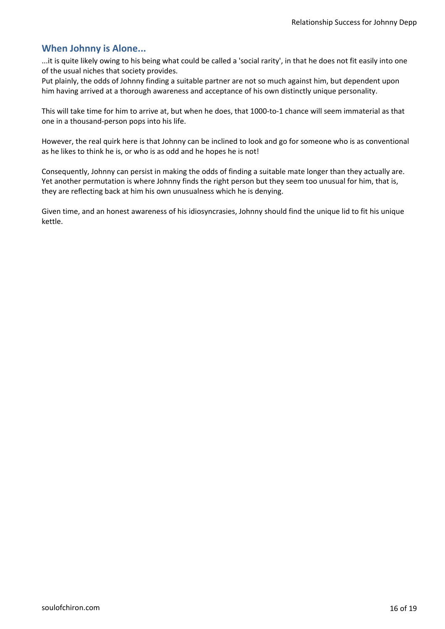...it is quite likely owing to his being what could be called a 'social rarity', in that he does not fit easily into one of the usual niches that society provides.

Put plainly, the odds of Johnny finding a suitable partner are not so much against him, but dependent upon him having arrived at a thorough awareness and acceptance of his own distinctly unique personality.

This will take time for him to arrive at, but when he does, that 1000-to-1 chance will seem immaterial as that one in a thousand-person pops into his life.

However, the real quirk here is that Johnny can be inclined to look and go for someone who is as conventional as he likes to think he is, or who is as odd and he hopes he is not!

Consequently, Johnny can persist in making the odds of finding a suitable mate longer than they actually are. Yet another permutation is where Johnny finds the right person but they seem too unusual for him, that is, they are reflecting back at him his own unusualness which he is denying.

Given time, and an honest awareness of his idiosyncrasies, Johnny should find the unique lid to fit his unique kettle.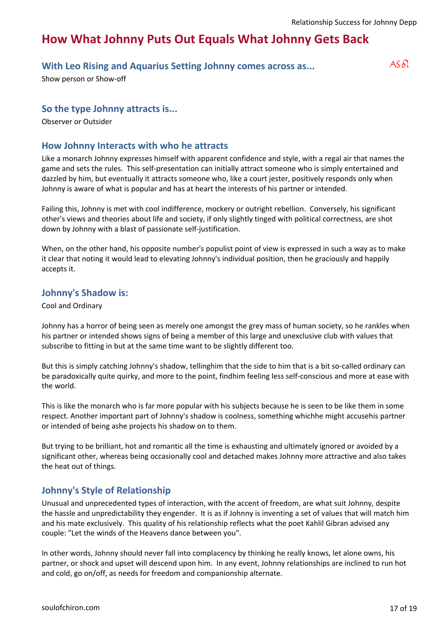# **How What Johnny Puts Out Equals What Johnny Gets Back**

# **With Leo Rising and Aquarius Setting Johnny comes across as...**  $\qquad A S \delta l$

Show person or Show-off

#### **So the type Johnny attracts is...**

Observer or Outsider

#### **How Johnny Interacts with who he attracts**

Like a monarch Johnny expresses himself with apparent confidence and style, with a regal air that names the game and sets the rules. This self-presentation can initially attract someone who is simply entertained and dazzled by him, but eventually it attracts someone who, like a court jester, positively responds only when Johnny is aware of what is popular and has at heart the interests of his partner or intended.

Failing this, Johnny is met with cool indifference, mockery or outright rebellion. Conversely, his significant other's views and theories about life and society, if only slightly tinged with political correctness, are shot down by Johnny with a blast of passionate self-justification.

When, on the other hand, his opposite number's populist point of view is expressed in such a way as to make it clear that noting it would lead to elevating Johnny's individual position, then he graciously and happily accepts it.

#### **Johnny's Shadow is:**

Cool and Ordinary

Johnny has a horror of being seen as merely one amongst the grey mass of human society, so he rankles when his partner or intended shows signs of being a member of this large and unexclusive club with values that subscribe to fitting in but at the same time want to be slightly different too.

But this is simply catching Johnny's shadow, tellinghim that the side to him that is a bit so-called ordinary can be paradoxically quite quirky, and more to the point, findhim feeling less self-conscious and more at ease with the world.

This is like the monarch who is far more popular with his subjects because he is seen to be like them in some respect. Another important part of Johnny's shadow is coolness, something whichhe might accusehis partner or intended of being ashe projects his shadow on to them.

But trying to be brilliant, hot and romantic all the time is exhausting and ultimately ignored or avoided by a significant other, whereas being occasionally cool and detached makes Johnny more attractive and also takes the heat out of things.

#### **Johnny's Style of Relationship**

Unusual and unprecedented types of interaction, with the accent of freedom, are what suit Johnny, despite the hassle and unpredictability they engender. It is as if Johnny is inventing a set of values that will match him and his mate exclusively. This quality of his relationship reflects what the poet Kahlil Gibran advised any couple: "Let the winds of the Heavens dance between you".

In other words, Johnny should never fall into complacency by thinking he really knows, let alone owns, his partner, or shock and upset will descend upon him. In any event, Johnny relationships are inclined to run hot and cold, go on/off, as needs for freedom and companionship alternate.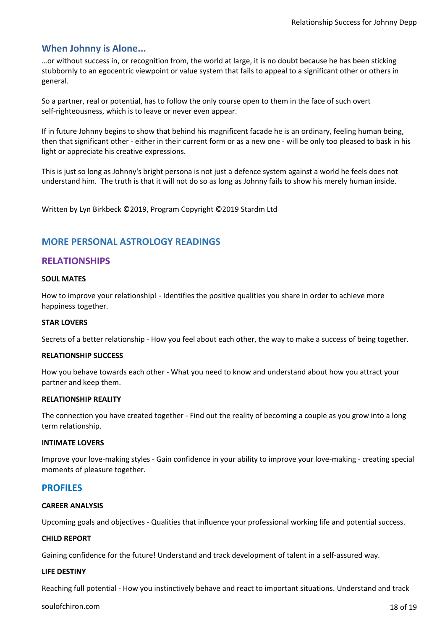…or without success in, or recognition from, the world at large, it is no doubt because he has been sticking stubbornly to an egocentric viewpoint or value system that fails to appeal to a significant other or others in general.

So a partner, real or potential, has to follow the only course open to them in the face of such overt self-righteousness, which is to leave or never even appear.

If in future Johnny begins to show that behind his magnificent facade he is an ordinary, feeling human being, then that significant other - either in their current form or as a new one - will be only too pleased to bask in his light or appreciate his creative expressions.

This is just so long as Johnny's bright persona is not just a defence system against a world he feels does not understand him. The truth is that it will not do so as long as Johnny fails to show his merely human inside.

Written by Lyn Birkbeck ©2019, Program Copyright ©2019 Stardm Ltd

## **MORE PERSONAL ASTROLOGY READINGS**

#### **RELATIONSHIPS**

#### **SOUL MATES**

How to improve your relationship! - Identifies the positive qualities you share in order to achieve more happiness together.

#### **STAR LOVERS**

Secrets of a better relationship - How you feel about each other, the way to make a success of being together.

#### **RELATIONSHIP SUCCESS**

How you behave towards each other - What you need to know and understand about how you attract your partner and keep them.

#### **RELATIONSHIP REALITY**

The connection you have created together - Find out the reality of becoming a couple as you grow into a long term relationship.

#### **INTIMATE LOVERS**

Improve your love-making styles - Gain confidence in your ability to improve your love-making - creating special moments of pleasure together.

#### **PROFILES**

#### **CAREER ANALYSIS**

Upcoming goals and objectives - Qualities that influence your professional working life and potential success.

#### **CHILD REPORT**

Gaining confidence for the future! Understand and track development of talent in a self-assured way.

#### **LIFE DESTINY**

Reaching full potential - How you instinctively behave and react to important situations. Understand and track